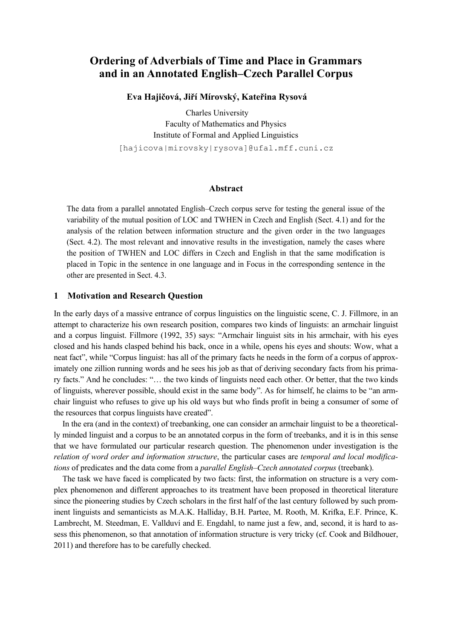# **Ordering of Adverbials of Time and Place in Grammars and in an Annotated English–Czech Parallel Corpus**

 **Eva Hajičová, Jiří Mírovský, Kateřina Rysová**

Charles University Faculty of Mathematics and Physics Institute of Formal and Applied Linguistics [hajicova|mirovsky|rysova]@ufal.mff.cuni.cz

#### **Abstract**

The data from a parallel annotated English–Czech corpus serve for testing the general issue of the variability of the mutual position of LOC and TWHEN in Czech and English (Sect. 4.1) and for the analysis of the relation between information structure and the given order in the two languages (Sect. 4.2). The most relevant and innovative results in the investigation, namely the cases where the position of TWHEN and LOC differs in Czech and English in that the same modification is placed in Topic in the sentence in one language and in Focus in the corresponding sentence in the other are presented in Sect. 4.3.

#### **1 Motivation and Research Question**

In the early days of a massive entrance of corpus linguistics on the linguistic scene, C. J. Fillmore, in an attempt to characterize his own research position, compares two kinds of linguists: an armchair linguist and a corpus linguist. Fillmore (1992, 35) says: "Armchair linguist sits in his armchair, with his eyes closed and his hands clasped behind his back, once in a while, opens his eyes and shouts: Wow, what a neat fact", while "Corpus linguist: has all of the primary facts he needs in the form of a corpus of approximately one zillion running words and he sees his job as that of deriving secondary facts from his primary facts." And he concludes: "… the two kinds of linguists need each other. Or better, that the two kinds of linguists, wherever possible, should exist in the same body". As for himself, he claims to be "an armchair linguist who refuses to give up his old ways but who finds profit in being a consumer of some of the resources that corpus linguists have created".

In the era (and in the context) of treebanking, one can consider an armchair linguist to be a theoretically minded linguist and a corpus to be an annotated corpus in the form of treebanks, and it is in this sense that we have formulated our particular research question. The phenomenon under investigation is the *relation of word order and information structure*, the particular cases are *temporal and local modifications* of predicates and the data come from a *parallel English–Czech annotated corpus* (treebank).

The task we have faced is complicated by two facts: first, the information on structure is a very complex phenomenon and different approaches to its treatment have been proposed in theoretical literature since the pioneering studies by Czech scholars in the first half of the last century followed by such prominent linguists and semanticists as M.A.K. Halliday, B.H. Partee, M. Rooth, M. Krifka, E.F. Prince, K. Lambrecht, M. Steedman, E. Vallduví and E. Engdahl, to name just a few, and, second, it is hard to assess this phenomenon, so that annotation of information structure is very tricky (cf. Cook and Bildhouer, 2011) and therefore has to be carefully checked.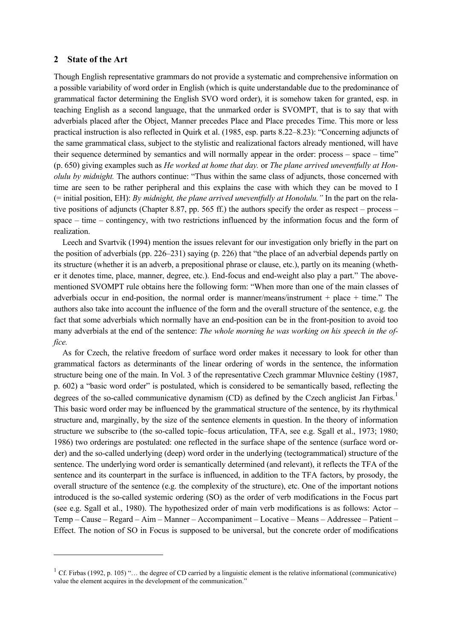#### **2 State of the Art**

<u>.</u>

Though English representative grammars do not provide a systematic and comprehensive information on a possible variability of word order in English (which is quite understandable due to the predominance of grammatical factor determining the English SVO word order), it is somehow taken for granted, esp. in teaching English as a second language, that the unmarked order is SVOMPT, that is to say that with adverbials placed after the Object, Manner precedes Place and Place precedes Time. This more or less practical instruction is also reflected in Quirk et al. (1985, esp. parts 8.22–8.23): "Concerning adjuncts of the same grammatical class, subject to the stylistic and realizational factors already mentioned, will have their sequence determined by semantics and will normally appear in the order: process – space – time" (p. 650) giving examples such as *He worked at home that day.* or *The plane arrived uneventfully at Honolulu by midnight.* The authors continue: "Thus within the same class of adjuncts, those concerned with time are seen to be rather peripheral and this explains the case with which they can be moved to I (= initial position, EH): *By midnight, the plane arrived uneventfully at Honolulu."* In the part on the relative positions of adjuncts (Chapter 8.87, pp. 565 ff.) the authors specify the order as respect – process – space – time – contingency, with two restrictions influenced by the information focus and the form of realization.

Leech and Svartvik (1994) mention the issues relevant for our investigation only briefly in the part on the position of adverbials (pp. 226–231) saying (p. 226) that "the place of an adverbial depends partly on its structure (whether it is an adverb, a prepositional phrase or clause, etc.), partly on its meaning (whether it denotes time, place, manner, degree, etc.). End-focus and end-weight also play a part." The abovementioned SVOMPT rule obtains here the following form: "When more than one of the main classes of adverbials occur in end-position, the normal order is manner/means/instrument + place + time." The authors also take into account the influence of the form and the overall structure of the sentence, e.g. the fact that some adverbials which normally have an end-position can be in the front-position to avoid too many adverbials at the end of the sentence: *The whole morning he was working on his speech in the office.*

As for Czech, the relative freedom of surface word order makes it necessary to look for other than grammatical factors as determinants of the linear ordering of words in the sentence, the information structure being one of the main. In Vol. 3 of the representative Czech grammar Mluvnice češtiny (1987, p. 602) a "basic word order" is postulated, which is considered to be semantically based, reflecting the degrees of the so-called communicative dynamism (CD) as defined by the Czech anglicist Jan Firbas.<sup>1</sup> This basic word order may be influenced by the grammatical structure of the sentence, by its rhythmical structure and, marginally, by the size of the sentence elements in question. In the theory of information structure we subscribe to (the so-called topic–focus articulation, TFA, see e.g. Sgall et al., 1973; 1980; 1986) two orderings are postulated: one reflected in the surface shape of the sentence (surface word order) and the so-called underlying (deep) word order in the underlying (tectogrammatical) structure of the sentence. The underlying word order is semantically determined (and relevant), it reflects the TFA of the sentence and its counterpart in the surface is influenced, in addition to the TFA factors, by prosody, the overall structure of the sentence (e.g. the complexity of the structure), etc. One of the important notions introduced is the so-called systemic ordering (SO) as the order of verb modifications in the Focus part (see e.g. Sgall et al., 1980). The hypothesized order of main verb modifications is as follows: Actor – Temp – Cause – Regard – Aim – Manner – Accompaniment – Locative – Means – Addressee – Patient – Effect. The notion of SO in Focus is supposed to be universal, but the concrete order of modifications

<sup>&</sup>lt;sup>1</sup> Cf. Firbas (1992, p. 105) "... the degree of CD carried by a linguistic element is the relative informational (communicative) value the element acquires in the development of the communication."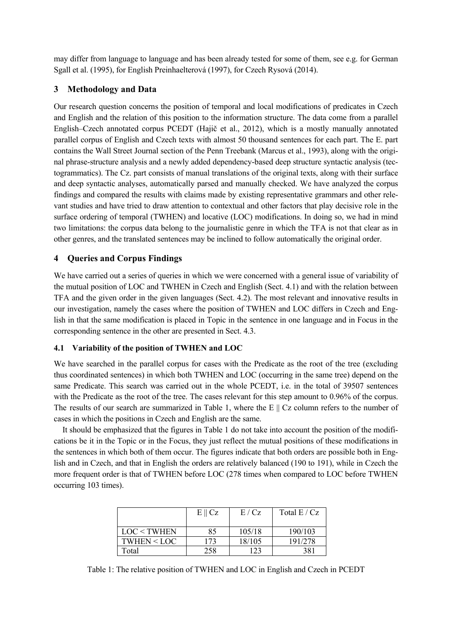may differ from language to language and has been already tested for some of them, see e.g. for German Sgall et al. (1995), for English Preinhaelterová (1997), for Czech Rysová (2014).

# **3 Methodology and Data**

Our research question concerns the position of temporal and local modifications of predicates in Czech and English and the relation of this position to the information structure. The data come from a parallel English–Czech annotated corpus PCEDT (Hajič et al., 2012), which is a mostly manually annotated parallel corpus of English and Czech texts with almost 50 thousand sentences for each part. The E. part contains the Wall Street Journal section of the Penn Treebank (Marcus et al., 1993), along with the original phrase-structure analysis and a newly added dependency-based deep structure syntactic analysis (tectogrammatics). The Cz. part consists of manual translations of the original texts, along with their surface and deep syntactic analyses, automatically parsed and manually checked. We have analyzed the corpus findings and compared the results with claims made by existing representative grammars and other relevant studies and have tried to draw attention to contextual and other factors that play decisive role in the surface ordering of temporal (TWHEN) and locative (LOC) modifications. In doing so, we had in mind two limitations: the corpus data belong to the journalistic genre in which the TFA is not that clear as in other genres, and the translated sentences may be inclined to follow automatically the original order.

# **4 Queries and Corpus Findings**

We have carried out a series of queries in which we were concerned with a general issue of variability of the mutual position of LOC and TWHEN in Czech and English (Sect. 4.1) and with the relation between TFA and the given order in the given languages (Sect. 4.2). The most relevant and innovative results in our investigation, namely the cases where the position of TWHEN and LOC differs in Czech and English in that the same modification is placed in Topic in the sentence in one language and in Focus in the corresponding sentence in the other are presented in Sect. 4.3.

### **4.1 Variability of the position of TWHEN and LOC**

We have searched in the parallel corpus for cases with the Predicate as the root of the tree (excluding thus coordinated sentences) in which both TWHEN and LOC (occurring in the same tree) depend on the same Predicate. This search was carried out in the whole PCEDT, i.e. in the total of 39507 sentences with the Predicate as the root of the tree. The cases relevant for this step amount to 0.96% of the corpus. The results of our search are summarized in Table 1, where the E  $\parallel$  Cz column refers to the number of cases in which the positions in Czech and English are the same.

It should be emphasized that the figures in Table 1 do not take into account the position of the modifications be it in the Topic or in the Focus, they just reflect the mutual positions of these modifications in the sentences in which both of them occur. The figures indicate that both orders are possible both in English and in Czech, and that in English the orders are relatively balanced (190 to 191), while in Czech the more frequent order is that of TWHEN before LOC (278 times when compared to LOC before TWHEN occurring 103 times).

|               | $E \parallel Cz$ | E/Cz   | Total $E/Cz$ |
|---------------|------------------|--------|--------------|
| LOC < TWHEN   | 85               | 105/18 | 190/103      |
| $TWHEN <$ LOC | 173              | 18/105 | 191/278      |
| Total         | 258              | 123    | 381          |

Table 1: The relative position of TWHEN and LOC in English and Czech in PCEDT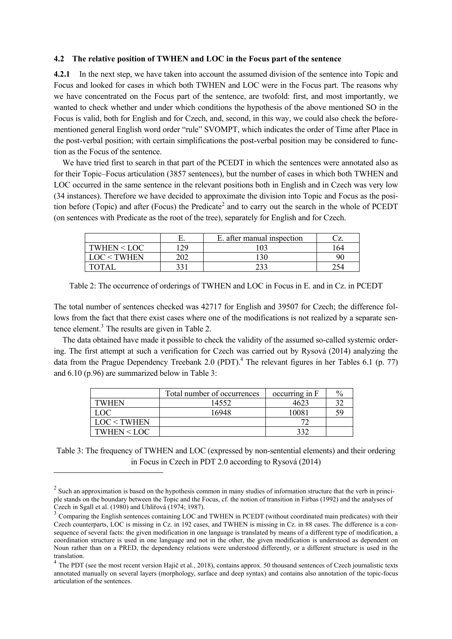#### **4.2 The relative position of TWHEN and LOC in the Focus part of the sentence**

**4.2.1** In the next step, we have taken into account the assumed division of the sentence into Topic and Focus and looked for cases in which both TWHEN and LOC were in the Focus part. The reasons why we have concentrated on the Focus part of the sentence, are twofold: first, and most importantly, we wanted to check whether and under which conditions the hypothesis of the above mentioned SO in the Focus is valid, both for English and for Czech, and, second, in this way, we could also check the beforementioned general English word order "rule" SVOMPT, which indicates the order of Time after Place in the post-verbal position; with certain simplifications the post-verbal position may be considered to function as the Focus of the sentence.

We have tried first to search in that part of the PCEDT in which the sentences were annotated also as for their Topic–Focus articulation (3857 sentences), but the number of cases in which both TWHEN and LOC occurred in the same sentence in the relevant positions both in English and in Czech was very low (34 instances). Therefore we have decided to approximate the division into Topic and Focus as the position before (Topic) and after (Focus) the Predicate<sup>2</sup> and to carry out the search in the whole of PCEDT (on sentences with Predicate as the root of the tree), separately for English and for Czech.

|             | L.  | E. after manual inspection | -<br>$\tilde{}$ |
|-------------|-----|----------------------------|-----------------|
| TWHEN < LOC |     |                            | 64              |
| TWHEN       | ገበገ | 120                        | Qſ              |
|             | າາ  |                            |                 |

Table 2: The occurrence of orderings of TWHEN and LOC in Focus in E. and in Cz. in PCEDT

The total number of sentences checked was 42717 for English and 39507 for Czech; the difference follows from the fact that there exist cases where one of the modifications is not realized by a separate sentence element.<sup>3</sup> The results are given in Table 2.

The data obtained have made it possible to check the validity of the assumed so-called systemic ordering. The first attempt at such a verification for Czech was carried out by Rysová (2014) analyzing the data from the Prague Dependency Treebank 2.0 (PDT).<sup>4</sup> The relevant figures in her Tables 6.1 (p. 77) and 6.10 (p.96) are summarized below in Table 3:

|             | Total number of occurrences | occurring in F | $\%$ |
|-------------|-----------------------------|----------------|------|
| TWHEN       | 14552                       | 4623           |      |
| LOC         | 16948                       | 10081          |      |
| LOC < TWHEN |                             |                |      |
| TWHEN < LOC |                             | 220            |      |

Table 3: The frequency of TWHEN and LOC (expressed by non-sentential elements) and their ordering in Focus in Czech in PDT 2.0 according to Rysová (2014)

-

 $2 \text{ Such an approximation is based on the hypothesis common in many studies of information structure that the verb in principle.}$ ple stands on the boundary between the Topic and the Focus, cf. the notion of transition in Firbas (1992) and the analyses of Czech in Sgall et al. (1980) and Uhlířová (1974; 1987).

<sup>3</sup> Comparing the English sentences containing LOC and TWHEN in PCEDT (without coordinated main predicates) with their Czech counterparts, LOC is missing in Cz. in 192 cases, and TWHEN is missing in Cz. in 88 cases. The difference is a consequence of several facts: the given modification in one language is translated by means of a different type of modification, a coordination structure is used in one language and not in the other, the given modification is understood as dependent on Noun rather than on a PRED, the dependency relations were understood differently, or a different structure is used in the translation.

 $<sup>4</sup>$  The PDT (see the most recent version Hajič et al., 2018), contains approx. 50 thousand sentences of Czech journalistic texts</sup> annotated manually on several layers (morphology, surface and deep syntax) and contains also annotation of the topic-focus articulation of the sentences.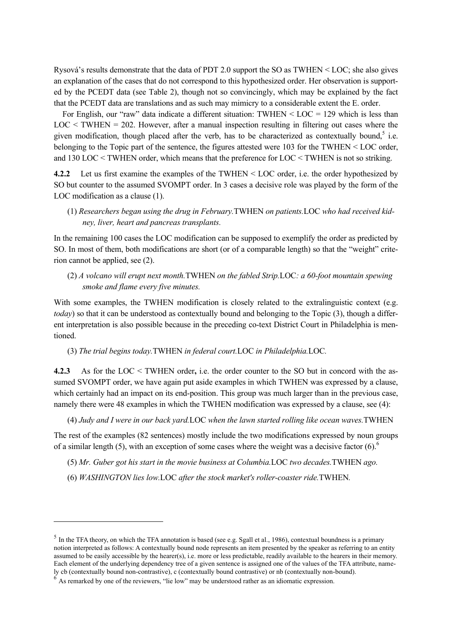Rysová's results demonstrate that the data of PDT 2.0 support the SO as TWHEN < LOC; she also gives an explanation of the cases that do not correspond to this hypothesized order. Her observation is supported by the PCEDT data (see Table 2), though not so convincingly, which may be explained by the fact that the PCEDT data are translations and as such may mimicry to a considerable extent the E. order.

For English, our "raw" data indicate a different situation:  $TWHEN < LOC = 129$  which is less than  $LOC < TWHEN = 202$ . However, after a manual inspection resulting in filtering out cases where the given modification, though placed after the verb, has to be characterized as contextually bound,<sup>5</sup> i.e. belonging to the Topic part of the sentence, the figures attested were 103 for the TWHEN < LOC order, and 130 LOC < TWHEN order, which means that the preference for LOC < TWHEN is not so striking.

**4.2.2** Let us first examine the examples of the TWHEN < LOC order, i.e. the order hypothesized by SO but counter to the assumed SVOMPT order. In 3 cases a decisive role was played by the form of the LOC modification as a clause (1).

(1) *Researchers began using the drug in February.*TWHEN *on patients.*LOC *who had received kidney, liver, heart and pancreas transplants.*

In the remaining 100 cases the LOC modification can be supposed to exemplify the order as predicted by SO. In most of them, both modifications are short (or of a comparable length) so that the "weight" criterion cannot be applied, see (2).

(2) *A volcano will erupt next month.*TWHEN *on the fabled Strip.*LOC*: a 60-foot mountain spewing smoke and flame every five minutes.* 

With some examples, the TWHEN modification is closely related to the extralinguistic context (e.g. *today*) so that it can be understood as contextually bound and belonging to the Topic (3), though a different interpretation is also possible because in the preceding co-text District Court in Philadelphia is mentioned.

(3) *The trial begins today.*TWHEN *in federal court.*LOC *in Philadelphia.*LOC*.* 

**4.2.3** As for the LOC < TWHEN order**,** i.e. the order counter to the SO but in concord with the assumed SVOMPT order, we have again put aside examples in which TWHEN was expressed by a clause, which certainly had an impact on its end-position. This group was much larger than in the previous case, namely there were 48 examples in which the TWHEN modification was expressed by a clause, see (4):

(4) *Judy and I were in our back yard.*LOC *when the lawn started rolling like ocean waves.*TWHEN

The rest of the examples (82 sentences) mostly include the two modifications expressed by noun groups of a similar length (5), with an exception of some cases where the weight was a decisive factor  $(6)$ .<sup>6</sup>

- (5) *Mr. Guber got his start in the movie business at Columbia.*LOC *two decades.*TWHEN *ago.*
- (6) *WASHINGTON lies low.*LOC *after the stock market's roller-coaster ride.*TWHEN*.*

-

 $<sup>5</sup>$  In the TFA theory, on which the TFA annotation is based (see e.g. Sgall et al., 1986), contextual boundness is a primary</sup> notion interpreted as follows: A contextually bound node represents an item presented by the speaker as referring to an entity assumed to be easily accessible by the hearer(s), i.e. more or less predictable, readily available to the hearers in their memory. Each element of the underlying dependency tree of a given sentence is assigned one of the values of the TFA attribute, namely cb (contextually bound non-contrastive), c (contextually bound contrastive) or nb (contextually non-bound).

<sup>6</sup> As remarked by one of the reviewers, "lie low" may be understood rather as an idiomatic expression.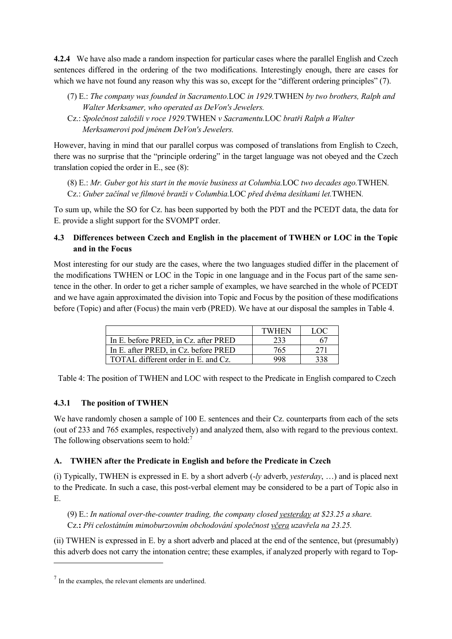**4.2.4** We have also made a random inspection for particular cases where the parallel English and Czech sentences differed in the ordering of the two modifications. Interestingly enough, there are cases for which we have not found any reason why this was so, except for the "different ordering principles" (7).

- (7) E.: *The company was founded in Sacramento.*LOC *in 1929.*TWHEN *by two brothers, Ralph and Walter Merksamer, who operated as DeVon's Jewelers.*
- Cz.: *Společnost založili v roce 1929.*TWHEN *v Sacramentu.*LOC *bratři Ralph a Walter Merksamerovi pod jménem DeVon's Jewelers.*

However, having in mind that our parallel corpus was composed of translations from English to Czech, there was no surprise that the "principle ordering" in the target language was not obeyed and the Czech translation copied the order in E., see (8):

(8) E.: *Mr. Guber got his start in the movie business at Columbia.*LOC *two decades ago.*TWHEN*.*  Cz.: *Guber začínal ve filmové branži v Columbia.*LOC *před dvěma desítkami let.*TWHEN*.*

To sum up, while the SO for Cz. has been supported by both the PDT and the PCEDT data, the data for E. provide a slight support for the SVOMPT order.

# **4.3 Differences between Czech and English in the placement of TWHEN or LOC in the Topic and in the Focus**

Most interesting for our study are the cases, where the two languages studied differ in the placement of the modifications TWHEN or LOC in the Topic in one language and in the Focus part of the same sentence in the other. In order to get a richer sample of examples, we have searched in the whole of PCEDT and we have again approximated the division into Topic and Focus by the position of these modifications before (Topic) and after (Focus) the main verb (PRED). We have at our disposal the samples in Table 4.

|                                      | TWHEN | LOC |
|--------------------------------------|-------|-----|
| In E. before PRED, in Cz. after PRED | 233   | 67  |
| In E. after PRED, in Cz. before PRED | 765   | 271 |
| TOTAL different order in E. and Cz.  | 998   | 338 |

Table 4: The position of TWHEN and LOC with respect to the Predicate in English compared to Czech

### **4.3.1 The position of TWHEN**

We have randomly chosen a sample of 100 E. sentences and their Cz. counterparts from each of the sets (out of 233 and 765 examples, respectively) and analyzed them, also with regard to the previous context. The following observations seem to hold:<sup>7</sup>

### **A. TWHEN after the Predicate in English and before the Predicate in Czech**

(i) Typically, TWHEN is expressed in E. by a short adverb (-*ly* adverb, *yesterday*, …) and is placed next to the Predicate. In such a case, this post-verbal element may be considered to be a part of Topic also in E.

(9) E.: *In national over-the-counter trading, the company closed yesterday at \$23.25 a share.* Cz.**:** *Při celostátním mimoburzovním obchodování společnost včera uzavřela na 23.25.*

(ii) TWHEN is expressed in E. by a short adverb and placed at the end of the sentence, but (presumably) this adverb does not carry the intonation centre; these examples, if analyzed properly with regard to Top-

-

<sup>&</sup>lt;sup>7</sup> In the examples, the relevant elements are underlined.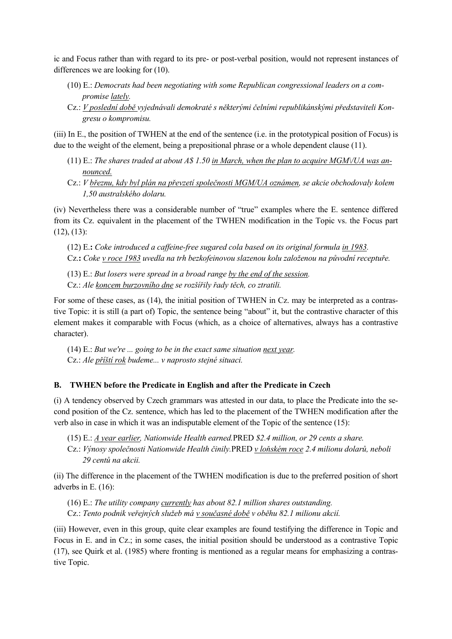ic and Focus rather than with regard to its pre- or post-verbal position, would not represent instances of differences we are looking for (10).

- (10) E.: *Democrats had been negotiating with some Republican congressional leaders on a compromise lately.*
- Cz.: *V poslední době vyjednávali demokraté s některými čelními republikánskými představiteli Kongresu o kompromisu.*

(iii) In E., the position of TWHEN at the end of the sentence (i.e. in the prototypical position of Focus) is due to the weight of the element, being a prepositional phrase or a whole dependent clause (11).

- (11) E.: *The shares traded at about A\$ 1.50 in March, when the plan to acquire MGM\/UA was announced.*
- Cz.: *V březnu, kdy byl plán na převzetí společnosti MGM/UA oznámen, se akcie obchodovaly kolem 1,50 australského dolaru.*

(iv) Nevertheless there was a considerable number of "true" examples where the E. sentence differed from its Cz. equivalent in the placement of the TWHEN modification in the Topic vs. the Focus part  $(12), (13)$ :

(12) E.**:** *Coke introduced a caffeine-free sugared cola based on its original formula in 1983.* Cz.**:** *Coke v roce 1983 uvedla na trh bezkofeinovou slazenou kolu založenou na původní receptuře.*

(13) E.: *But losers were spread in a broad range by the end of the session.* Cz.: *Ale koncem burzovního dne se rozšířily řady těch, co ztratili.*

For some of these cases, as (14), the initial position of TWHEN in Cz. may be interpreted as a contrastive Topic: it is still (a part of) Topic, the sentence being "about" it, but the contrastive character of this element makes it comparable with Focus (which, as a choice of alternatives, always has a contrastive character).

(14) E.: *But we're ... going to be in the exact same situation next year.* Cz.: *Ale příští rok budeme... v naprosto stejné situaci.*

### **B. TWHEN before the Predicate in English and after the Predicate in Czech**

(i) A tendency observed by Czech grammars was attested in our data, to place the Predicate into the second position of the Cz. sentence, which has led to the placement of the TWHEN modification after the verb also in case in which it was an indisputable element of the Topic of the sentence (15):

(15) E.: *A year earlier, Nationwide Health earned.*PRED *\$2.4 million, or 29 cents a share.* 

Cz.: *Výnosy společnosti Nationwide Health činily.*PRED *v loňském roce 2.4 milionu dolarů, neboli 29 centů na akcii.*

(ii) The difference in the placement of the TWHEN modification is due to the preferred position of short adverbs in E. (16):

(16) E.: *The utility company currently has about 82.1 million shares outstanding.*  Cz.: *Tento podnik veřejných služeb má v současné době v oběhu 82.1 milionu akcií.*

(iii) However, even in this group, quite clear examples are found testifying the difference in Topic and Focus in E. and in Cz.; in some cases, the initial position should be understood as a contrastive Topic (17), see Quirk et al. (1985) where fronting is mentioned as a regular means for emphasizing a contrastive Topic.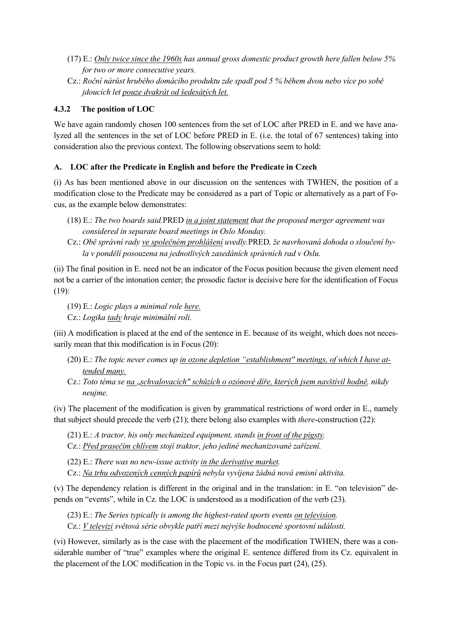- (17) E.: *Only twice since the 1960s has annual gross domestic product growth here fallen below 5% for two or more consecutive years.*
- Cz.: *Roční nárůst hrubého domácího produktu zde spadl pod 5 % během dvou nebo více po sobě jdoucích let pouze dvakrát od šedesátých let.*

# **4.3.2 The position of LOC**

We have again randomly chosen 100 sentences from the set of LOC after PRED in E. and we have analyzed all the sentences in the set of LOC before PRED in E. (i.e. the total of 67 sentences) taking into consideration also the previous context. The following observations seem to hold:

# **A. LOC after the Predicate in English and before the Predicate in Czech**

(i) As has been mentioned above in our discussion on the sentences with TWHEN, the position of a modification close to the Predicate may be considered as a part of Topic or alternatively as a part of Focus, as the example below demonstrates:

- (18) E.: *The two boards said.*PRED *in a joint statement that the proposed merger agreement was considered in separate board meetings in Oslo Monday.*
- Cz.: *Obě správní rady ve společném prohlášení uvedly.*PRED*, že navrhovaná dohoda o sloučení byla v pondělí posouzena na jednotlivých zasedáních správních rad v Oslu.*

(ii) The final position in E. need not be an indicator of the Focus position because the given element need not be a carrier of the intonation center; the prosodic factor is decisive here for the identification of Focus (19):

(19) E.: *Logic plays a minimal role here.*

Cz.: *Logika tady hraje minimální roli.*

(iii) A modification is placed at the end of the sentence in E. because of its weight, which does not necessarily mean that this modification is in Focus (20):

- (20) E.: *The topic never comes up in ozone depletion "establishment'' meetings, of which I have attended many.*
- Cz.: *Toto téma se na* "*schvalovacích" schůzích o ozónové díře, kterých jsem navštívil hodně, nikdy neujme.*

(iv) The placement of the modification is given by grammatical restrictions of word order in E., namely that subject should precede the verb (21); there belong also examples with *there*-construction (22):

(21) E.: *A tractor, his only mechanized equipment, stands in front of the pigsty.* 

Cz.: *Před prasečím chlívem stojí traktor, jeho jediné mechanizované zařízení.* 

(22) E.: *There was no new-issue activity in the derivative market.* 

Cz.: *Na trhu odvozených cenných papírů nebyla vyvíjena žádná nová emisní aktivita.* 

(v) The dependency relation is different in the original and in the translation: in E. "on television" depends on "events", while in Cz. the LOC is understood as a modification of the verb (23).

(23) E.: *The Series typically is among the highest-rated sports events on television.*

Cz.: *V televizi světová série obvykle patří mezi nejvýše hodnocené sportovní události.*

(vi) However, similarly as is the case with the placement of the modification TWHEN, there was a considerable number of "true" examples where the original E. sentence differed from its Cz. equivalent in the placement of the LOC modification in the Topic vs. in the Focus part (24), (25).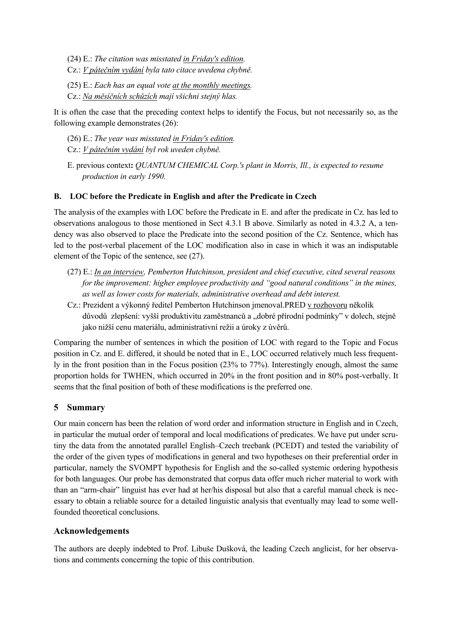(24) E.: *The citation was misstated in Friday's edition.* 

- Cz.: *V pátečním vydání byla tato citace uvedena chybně.*
- (25) E.: *Each has an equal vote at the monthly meetings.*
- Cz.: *Na měsíčních schůzích mají všichni stejný hlas.*

It is often the case that the preceding context helps to identify the Focus, but not necessarily so, as the following example demonstrates (26):

- (26) E.: *The year was misstated in Friday's edition.*
- Cz.: *V pátečním vydání byl rok uveden chybně.*
- E. previous context**:** *QUANTUM CHEMICAL Corp.'s plant in Morris, Ill., is expected to resume production in early 1990.*

### **B. LOC before the Predicate in English and after the Predicate in Czech**

The analysis of the examples with LOC before the Predicate in E. and after the predicate in Cz. has led to observations analogous to those mentioned in Sect 4.3.1 B above. Similarly as noted in 4.3.2 A, a tendency was also observed to place the Predicate into the second position of the Cz. Sentence, which has led to the post-verbal placement of the LOC modification also in case in which it was an indisputable element of the Topic of the sentence, see (27).

- (27) E.: *In an interview, Pemberton Hutchinson, president and chief executive, cited several reasons for the improvement: higher employee productivity and "good natural conditions" in the mines, as well as lower costs for materials, administrative overhead and debt interest.*
- Cz.: Prezident a výkonný ředitel Pemberton Hutchinson jmenoval.PRED v rozhovoru několik důvodů zlepšení: vyšší produktivitu zaměstnanců a "dobré přírodní podmínky" v dolech, stejně jako nižší cenu materiálu, administrativní režii a úroky z úvěrů.

Comparing the number of sentences in which the position of LOC with regard to the Topic and Focus position in Cz. and E. differed, it should be noted that in E., LOC occurred relatively much less frequently in the front position than in the Focus position (23% to 77%). Interestingly enough, almost the same proportion holds for TWHEN, which occurred in 20% in the front position and in 80% post-verbally. It seems that the final position of both of these modifications is the preferred one.

# **5 Summary**

Our main concern has been the relation of word order and information structure in English and in Czech, in particular the mutual order of temporal and local modifications of predicates. We have put under scrutiny the data from the annotated parallel English–Czech treebank (PCEDT) and tested the variability of the order of the given types of modifications in general and two hypotheses on their preferential order in particular, namely the SVOMPT hypothesis for English and the so-called systemic ordering hypothesis for both languages. Our probe has demonstrated that corpus data offer much richer material to work with than an "arm-chair" linguist has ever had at her/his disposal but also that a careful manual check is necessary to obtain a reliable source for a detailed linguistic analysis that eventually may lead to some wellfounded theoretical conclusions.

### **Acknowledgements**

The authors are deeply indebted to Prof. Libuše Dušková, the leading Czech anglicist, for her observations and comments concerning the topic of this contribution.